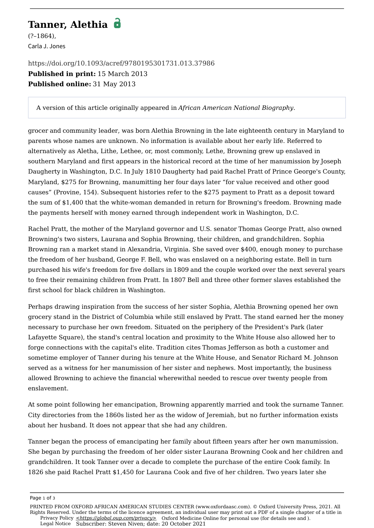## **Tanner, Alethia**

(?–1864), Carla J. Jones

<https://doi.org/10.1093/acref/9780195301731.013.37986> **Published in print:** 15 March 2013 **Published online:** 31 May 2013

A version of this article originally appeared in *African American National Biography*.

grocer and community leader, was born Alethia Browning in the late eighteenth century in Maryland to parents whose names are unknown. No information is available about her early life. Referred to alternatively as Aletha, Lithe, Lethee, or, most commonly, Lethe, Browning grew up enslaved in southern Maryland and first appears in the historical record at the time of her manumission by Joseph Daugherty in Washington, D.C. In July 1810 Daugherty had paid Rachel Pratt of Prince George's County, Maryland, \$275 for Browning, manumitting her four days later "for value received and other good causes" (Provine, 154). Subsequent histories refer to the \$275 payment to Pratt as a deposit toward the sum of \$1,400 that the white-woman demanded in return for Browning's freedom. Browning made the payments herself with money earned through independent work in Washington, D.C.

Rachel Pratt, the mother of the Maryland governor and U.S. senator Thomas George Pratt, also owned Browning's two sisters, Laurana and Sophia Browning, their children, and grandchildren. Sophia Browning ran a market stand in Alexandria, Virginia. She saved over \$400, enough money to purchase the freedom of her husband, George F. Bell, who was enslaved on a neighboring estate. Bell in turn purchased his wife's freedom for five dollars in 1809 and the couple worked over the next several years to free their remaining children from Pratt. In 1807 Bell and three other former slaves established the first school for black children in Washington.

Perhaps drawing inspiration from the success of her sister Sophia, Alethia Browning opened her own grocery stand in the District of Columbia while still enslaved by Pratt. The stand earned her the money necessary to purchase her own freedom. Situated on the periphery of the President's Park (later Lafayette Square), the stand's central location and proximity to the White House also allowed her to forge connections with the capital's elite. Tradition cites Thomas Jefferson as both a customer and sometime employer of Tanner during his tenure at the White House, and Senator Richard M. Johnson served as a witness for her manumission of her sister and nephews. Most importantly, the business allowed Browning to achieve the financial wherewithal needed to rescue over twenty people from enslavement.

At some point following her emancipation, Browning apparently married and took the surname Tanner. City directories from the 1860s listed her as the widow of Jeremiah, but no further information exists about her husband. It does not appear that she had any children.

Tanner began the process of emancipating her family about fifteen years after her own manumission. She began by purchasing the freedom of her older sister Laurana Browning Cook and her children and grandchildren. It took Tanner over a decade to complete the purchase of the entire Cook family. In 1826 she paid Rachel Pratt \$1,450 for Laurana Cook and five of her children. Two years later she

Page 1 of 3

[Privacy Policy](https://global.oup.com/privacy) **[<https://global.oup.com/privacy>](https://global.oup.com/privacy)** Oxford Medicine Online for personal use (for details see and ). [Legal Notice](https://oxfordaasc.com/page/legal-notice) Subscriber: Steven Niven; date: 20 October 2021 PRINTED FROM OXFORD AFRICAN AMERICAN STUDIES CENTER (www.oxfordaasc.com). © Oxford University Press, 2021. All Rights Reserved. Under the terms of the licence agreement, an individual user may print out a PDF of a single chapter of a title in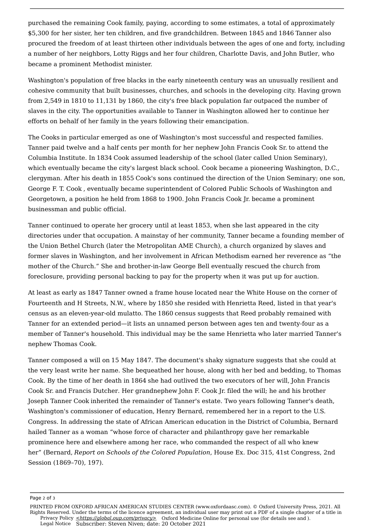purchased the remaining Cook family, paying, according to some estimates, a total of approximately \$5,300 for her sister, her ten children, and five grandchildren. Between 1845 and 1846 Tanner also procured the freedom of at least thirteen other individuals between the ages of one and forty, including a number of her neighbors, Lotty Riggs and her four children, Charlotte Davis, and John Butler, who became a prominent Methodist minister.

Washington's population of free blacks in the early nineteenth century was an unusually resilient and cohesive community that built businesses, churches, and schools in the developing city. Having grown from 2,549 in 1810 to 11,131 by 1860, the city's free black population far outpaced the number of slaves in the city. The opportunities available to Tanner in Washington allowed her to continue her efforts on behalf of her family in the years following their emancipation.

The Cooks in particular emerged as one of Washington's most successful and respected families. Tanner paid twelve and a half cents per month for her nephew [John Francis Cook Sr.](https://oxfordaasc.com/documentId/acref-9780195301731-e-35233) to attend the Columbia Institute. In 1834 Cook assumed leadership of the school (later called Union Seminary), which eventually became the city's largest black school. Cook became a pioneering Washington, D.C., clergyman. After his death in 1855 Cook's sons continued the direction of the Union Seminary; one son, [George F. T. Cook](https://oxfordaasc.com/documentId/acref-9780195301731-e-35537) , eventually became superintendent of Colored Public Schools of Washington and Georgetown, a position he held from 1868 to 1900. [John Francis Cook Jr.](https://oxfordaasc.com/documentId/acref-9780195301731-e-35233) became a prominent businessman and public official.

Tanner continued to operate her grocery until at least 1853, when she last appeared in the city directories under that occupation. A mainstay of her community, Tanner became a founding member of the Union Bethel Church (later the Metropolitan AME Church), a church organized by slaves and former slaves in Washington, and her involvement in African Methodism earned her reverence as "the mother of the Church." She and brother-in-law George Bell eventually rescued the church from foreclosure, providing personal backing to pay for the property when it was put up for auction.

At least as early as 1847 Tanner owned a frame house located near the White House on the corner of Fourteenth and H Streets, N.W., where by 1850 she resided with Henrietta Reed, listed in that year's census as an eleven-year-old mulatto. The 1860 census suggests that Reed probably remained with Tanner for an extended period—it lists an unnamed person between ages ten and twenty-four as a member of Tanner's household. This individual may be the same Henrietta who later married Tanner's nephew Thomas Cook.

Tanner composed a will on 15 May 1847. The document's shaky signature suggests that she could at the very least write her name. She bequeathed her house, along with her bed and bedding, to Thomas Cook. By the time of her death in 1864 she had outlived the two executors of her will, John Francis Cook Sr. and Francis Dutcher. Her grandnephew John F. Cook Jr. filed the will; he and his brother Joseph Tanner Cook inherited the remainder of Tanner's estate. Two years following Tanner's death, Washington's commissioner of education, Henry Bernard, remembered her in a report to the U.S. Congress. In addressing the state of African American education in the District of Columbia, Bernard hailed Tanner as a woman "whose force of character and philanthropy gave her remarkable prominence here and elsewhere among her race, who commanded the respect of all who knew her" (Bernard, *Report on Schools of the Colored Population*, House Ex. Doc 315, 41st Congress, 2nd Session (1869–70), 197).

Page 2 of 3

[Privacy Policy](https://global.oup.com/privacy) **[<https://global.oup.com/privacy>](https://global.oup.com/privacy)** Oxford Medicine Online for personal use (for details see and ). [Legal Notice](https://oxfordaasc.com/page/legal-notice) Subscriber: Steven Niven; date: 20 October 2021 PRINTED FROM OXFORD AFRICAN AMERICAN STUDIES CENTER (www.oxfordaasc.com). © Oxford University Press, 2021. All Rights Reserved. Under the terms of the licence agreement, an individual user may print out a PDF of a single chapter of a title in